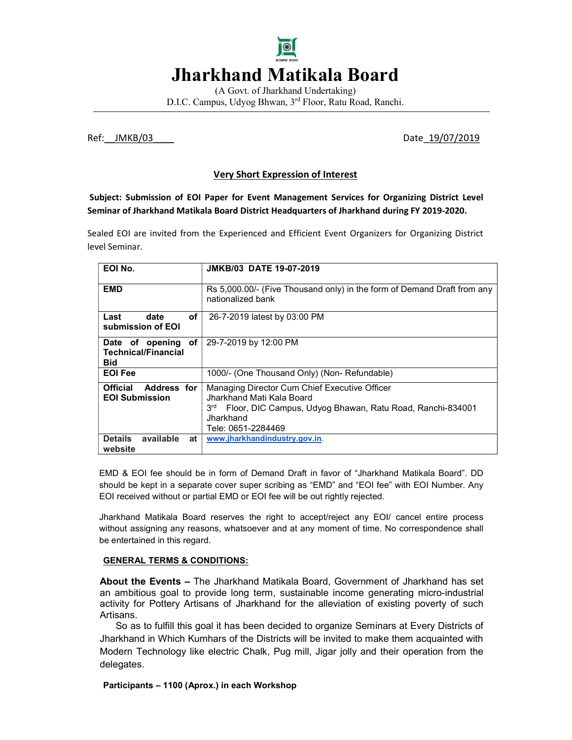# Jharkhand Matikala Board

(A Govt. of Jharkhand Undertaking) D.I.C. Campus, Udyog Bhwan, 3rd Floor, Ratu Road, Ranchi.

Ref:\_\_JMKB/03\_\_\_\_ Date\_19/07/2019

# Very Short Expression of Interest

 Subject: Submission of EOI Paper for Event Management Services for Organizing District Level Seminar of Jharkhand Matikala Board District Headquarters of Jharkhand during FY 2019-2020.

Sealed EOI are invited from the Experienced and Efficient Event Organizers for Organizing District level Seminar.

| EOI No.                                                        | <b>JMKB/03 DATE 19-07-2019</b>                                                                                                                                                             |
|----------------------------------------------------------------|--------------------------------------------------------------------------------------------------------------------------------------------------------------------------------------------|
| <b>EMD</b>                                                     | Rs 5,000.00/- (Five Thousand only) in the form of Demand Draft from any<br>nationalized bank                                                                                               |
| of<br>Last<br>date<br>submission of EOI                        | 26-7-2019 latest by 03:00 PM                                                                                                                                                               |
| Date of opening of<br><b>Technical/Financial</b><br><b>Bid</b> | 29-7-2019 by 12:00 PM                                                                                                                                                                      |
| <b>EOI Fee</b>                                                 | 1000/- (One Thousand Only) (Non- Refundable)                                                                                                                                               |
| <b>Official</b><br><b>Address for</b><br><b>EOI Submission</b> | Managing Director Cum Chief Executive Officer<br>Jharkhand Mati Kala Board<br>3 <sup>rd</sup> Floor, DIC Campus, Udyog Bhawan, Ratu Road, Ranchi-834001<br>Jharkhand<br>Tele: 0651-2284469 |
| <b>Details</b><br>available<br>at<br>website                   | www.jharkhandindustry.gov.in.                                                                                                                                                              |

EMD & EOI fee should be in form of Demand Draft in favor of "Jharkhand Matikala Board". DD should be kept in a separate cover super scribing as "EMD" and "EOI fee" with EOI Number. Any EOI received without or partial EMD or EOI fee will be out rightly rejected.

Jharkhand Matikala Board reserves the right to accept/reject any EOI/ cancel entire process without assigning any reasons, whatsoever and at any moment of time. No correspondence shall be entertained in this regard.

#### GENERAL TERMS & CONDITIONS:

About the Events – The Jharkhand Matikala Board, Government of Jharkhand has set an ambitious goal to provide long term, sustainable income generating micro-industrial activity for Pottery Artisans of Jharkhand for the alleviation of existing poverty of such Artisans.

So as to fulfill this goal it has been decided to organize Seminars at Every Districts of Jharkhand in Which Kumhars of the Districts will be invited to make them acquainted with Modern Technology like electric Chalk, Pug mill, Jigar jolly and their operation from the delegates.

Participants – 1100 (Aprox.) in each Workshop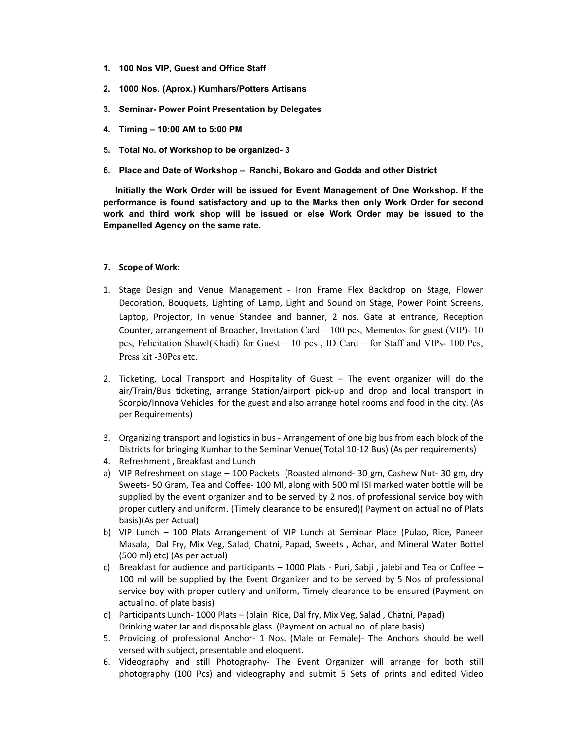- 1. 100 Nos VIP, Guest and Office Staff
- 2. 1000 Nos. (Aprox.) Kumhars/Potters Artisans
- 3. Seminar- Power Point Presentation by Delegates
- 4. Timing 10:00 AM to 5:00 PM
- 5. Total No. of Workshop to be organized- 3
- 6. Place and Date of Workshop Ranchi, Bokaro and Godda and other District

 Initially the Work Order will be issued for Event Management of One Workshop. If the performance is found satisfactory and up to the Marks then only Work Order for second work and third work shop will be issued or else Work Order may be issued to the Empanelled Agency on the same rate.

#### 7. Scope of Work:

- 1. Stage Design and Venue Management Iron Frame Flex Backdrop on Stage, Flower Decoration, Bouquets, Lighting of Lamp, Light and Sound on Stage, Power Point Screens, Laptop, Projector, In venue Standee and banner, 2 nos. Gate at entrance, Reception Counter, arrangement of Broacher, Invitation Card  $-100$  pcs, Mementos for guest (VIP)- 10 pcs, Felicitation Shawl(Khadi) for Guest – 10 pcs , ID Card – for Staff and VIPs- 100 Pcs, Press kit -30Pcs etc.
- 2. Ticketing, Local Transport and Hospitality of Guest The event organizer will do the air/Train/Bus ticketing, arrange Station/airport pick-up and drop and local transport in Scorpio/Innova Vehicles for the guest and also arrange hotel rooms and food in the city. (As per Requirements)
- 3. Organizing transport and logistics in bus Arrangement of one big bus from each block of the Districts for bringing Kumhar to the Seminar Venue( Total 10-12 Bus) (As per requirements)
- 4. Refreshment , Breakfast and Lunch
- a) VIP Refreshment on stage 100 Packets (Roasted almond- 30 gm, Cashew Nut- 30 gm, dry Sweets- 50 Gram, Tea and Coffee- 100 Ml, along with 500 ml ISI marked water bottle will be supplied by the event organizer and to be served by 2 nos. of professional service boy with proper cutlery and uniform. (Timely clearance to be ensured)( Payment on actual no of Plats basis)(As per Actual)
- b) VIP Lunch 100 Plats Arrangement of VIP Lunch at Seminar Place (Pulao, Rice, Paneer Masala, Dal Fry, Mix Veg, Salad, Chatni, Papad, Sweets , Achar, and Mineral Water Bottel (500 ml) etc) (As per actual)
- c) Breakfast for audience and participants  $-1000$  Plats Puri, Sabii, jalebi and Tea or Coffee  $-$ 100 ml will be supplied by the Event Organizer and to be served by 5 Nos of professional service boy with proper cutlery and uniform, Timely clearance to be ensured (Payment on actual no. of plate basis)
- d) Participants Lunch- 1000 Plats (plain Rice, Dal fry, Mix Veg, Salad , Chatni, Papad) Drinking water Jar and disposable glass. (Payment on actual no. of plate basis)
- 5. Providing of professional Anchor- 1 Nos. (Male or Female)- The Anchors should be well versed with subject, presentable and eloquent.
- 6. Videography and still Photography- The Event Organizer will arrange for both still photography (100 Pcs) and videography and submit 5 Sets of prints and edited Video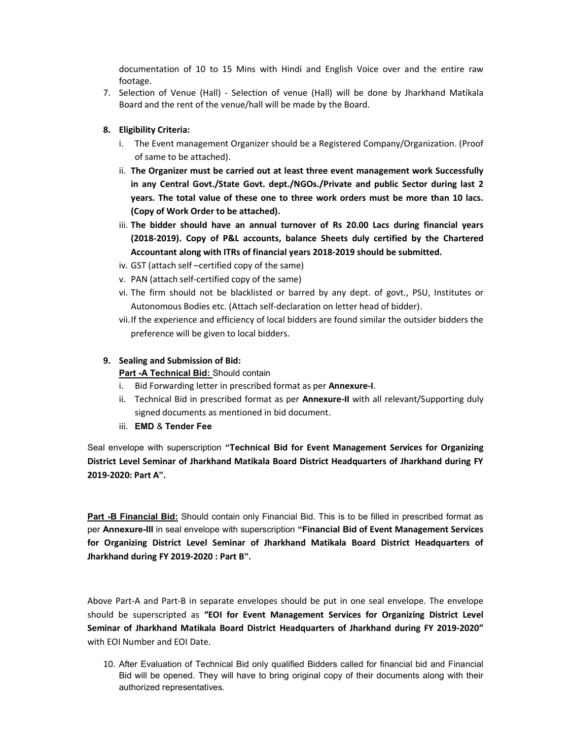documentation of 10 to 15 Mins with Hindi and English Voice over and the entire raw footage.

7. Selection of Venue (Hall) - Selection of venue (Hall) will be done by Jharkhand Matikala Board and the rent of the venue/hall will be made by the Board.

### 8. Eligibility Criteria:

- i. The Event management Organizer should be a Registered Company/Organization. (Proof of same to be attached).
- ii. The Organizer must be carried out at least three event management work Successfully in any Central Govt./State Govt. dept./NGOs./Private and public Sector during last 2 years. The total value of these one to three work orders must be more than 10 lacs. (Copy of Work Order to be attached).
- iii. The bidder should have an annual turnover of Rs 20.00 Lacs during financial years (2018-2019). Copy of P&L accounts, balance Sheets duly certified by the Chartered Accountant along with ITRs of financial years 2018-2019 should be submitted.
- iv. GST (attach self –certified copy of the same)
- v. PAN (attach self-certified copy of the same)
- vi. The firm should not be blacklisted or barred by any dept. of govt., PSU, Institutes or Autonomous Bodies etc. (Attach self-declaration on letter head of bidder).
- vii.If the experience and efficiency of local bidders are found similar the outsider bidders the preference will be given to local bidders.

### 9. Sealing and Submission of Bid:

#### Part -A Technical Bid: Should contain

- i. Bid Forwarding letter in prescribed format as per **Annexure-I**.
- ii. Technical Bid in prescribed format as per **Annexure-II** with all relevant/Supporting duly signed documents as mentioned in bid document.
- iii. EMD & Tender Fee

Seal envelope with superscription "Technical Bid for Event Management Services for Organizing District Level Seminar of Jharkhand Matikala Board District Headquarters of Jharkhand during FY 2019-2020: Part A".

Part -B Financial Bid: Should contain only Financial Bid. This is to be filled in prescribed format as per Annexure-III in seal envelope with superscription "Financial Bid of Event Management Services for Organizing District Level Seminar of Jharkhand Matikala Board District Headquarters of Jharkhand during FY 2019-2020 : Part B".

Above Part-A and Part-B in separate envelopes should be put in one seal envelope. The envelope should be superscripted as "EOI for Event Management Services for Organizing District Level Seminar of Jharkhand Matikala Board District Headquarters of Jharkhand during FY 2019-2020" with EOI Number and EOI Date.

10. After Evaluation of Technical Bid only qualified Bidders called for financial bid and Financial Bid will be opened. They will have to bring original copy of their documents along with their authorized representatives.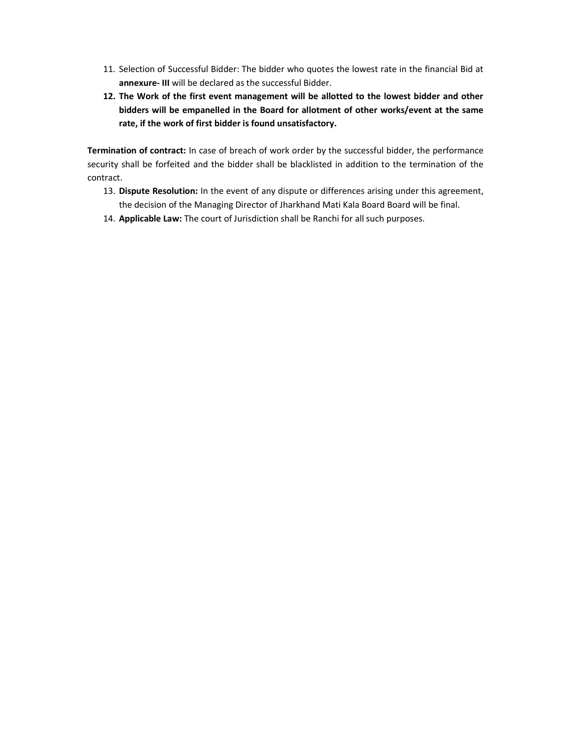- 11. Selection of Successful Bidder: The bidder who quotes the lowest rate in the financial Bid at annexure- III will be declared as the successful Bidder.
- 12. The Work of the first event management will be allotted to the lowest bidder and other bidders will be empanelled in the Board for allotment of other works/event at the same rate, if the work of first bidder is found unsatisfactory.

Termination of contract: In case of breach of work order by the successful bidder, the performance security shall be forfeited and the bidder shall be blacklisted in addition to the termination of the contract.

- 13. Dispute Resolution: In the event of any dispute or differences arising under this agreement, the decision of the Managing Director of Jharkhand Mati Kala Board Board will be final.
- 14. Applicable Law: The court of Jurisdiction shall be Ranchi for all such purposes.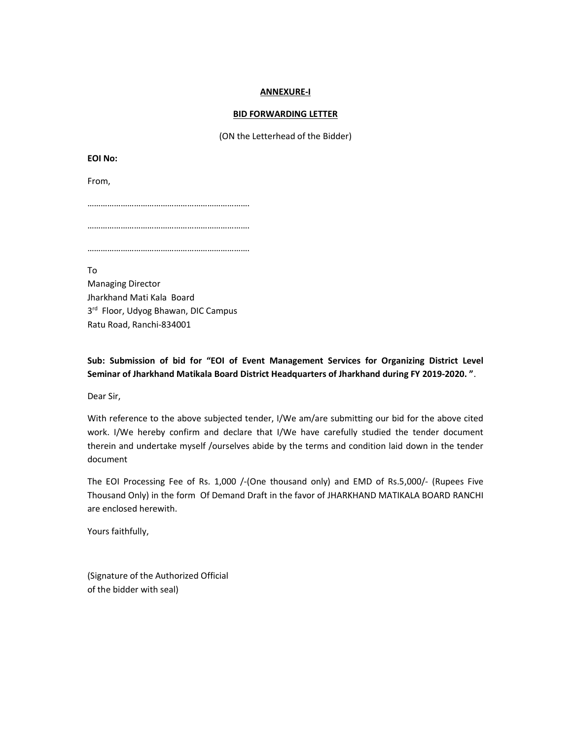#### ANNEXURE-I

#### BID FORWARDING LETTER

(ON the Letterhead of the Bidder)

EOI No:

From,

……………………………………………………………….

……………………………………………………………….

……………………………………………………………….

To

Managing Director Jharkhand Mati Kala Board 3<sup>rd</sup> Floor, Udyog Bhawan, DIC Campus Ratu Road, Ranchi-834001

Sub: Submission of bid for "EOI of Event Management Services for Organizing District Level Seminar of Jharkhand Matikala Board District Headquarters of Jharkhand during FY 2019-2020. ".

Dear Sir,

With reference to the above subjected tender, I/We am/are submitting our bid for the above cited work. I/We hereby confirm and declare that I/We have carefully studied the tender document therein and undertake myself /ourselves abide by the terms and condition laid down in the tender document

The EOI Processing Fee of Rs. 1,000 /-(One thousand only) and EMD of Rs.5,000/- (Rupees Five Thousand Only) in the form Of Demand Draft in the favor of JHARKHAND MATIKALA BOARD RANCHI are enclosed herewith.

Yours faithfully,

(Signature of the Authorized Official of the bidder with seal)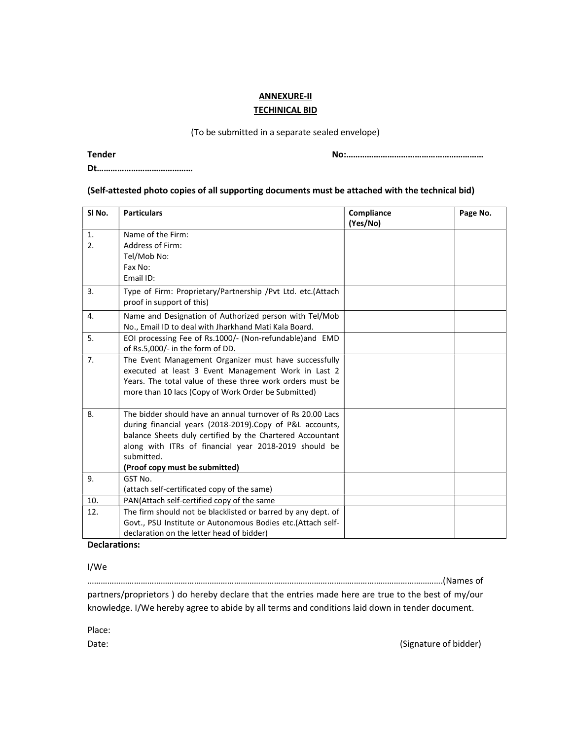# ANNEXURE-II TECHINICAL BID

#### (To be submitted in a separate sealed envelope)

Tender No:……………………………………………………

### Dt……………………………………

#### (Self-attested photo copies of all supporting documents must be attached with the technical bid)

| SI <sub>No.</sub> | <b>Particulars</b>                                                                                                                                                                                                                                                                            | Compliance | Page No. |
|-------------------|-----------------------------------------------------------------------------------------------------------------------------------------------------------------------------------------------------------------------------------------------------------------------------------------------|------------|----------|
| 1.                | Name of the Firm:                                                                                                                                                                                                                                                                             | (Yes/No)   |          |
| 2.                | Address of Firm:                                                                                                                                                                                                                                                                              |            |          |
|                   | Tel/Mob No:                                                                                                                                                                                                                                                                                   |            |          |
|                   | Fax No:                                                                                                                                                                                                                                                                                       |            |          |
|                   | Email ID:                                                                                                                                                                                                                                                                                     |            |          |
| 3.                | Type of Firm: Proprietary/Partnership /Pvt Ltd. etc.(Attach<br>proof in support of this)                                                                                                                                                                                                      |            |          |
| 4.                | Name and Designation of Authorized person with Tel/Mob<br>No., Email ID to deal with Jharkhand Mati Kala Board.                                                                                                                                                                               |            |          |
| 5.                | EOI processing Fee of Rs.1000/- (Non-refundable) and EMD<br>of Rs.5,000/- in the form of DD.                                                                                                                                                                                                  |            |          |
| 7.                | The Event Management Organizer must have successfully<br>executed at least 3 Event Management Work in Last 2<br>Years. The total value of these three work orders must be<br>more than 10 lacs (Copy of Work Order be Submitted)                                                              |            |          |
| 8.                | The bidder should have an annual turnover of Rs 20.00 Lacs<br>during financial years (2018-2019). Copy of P&L accounts,<br>balance Sheets duly certified by the Chartered Accountant<br>along with ITRs of financial year 2018-2019 should be<br>submitted.<br>(Proof copy must be submitted) |            |          |
| 9.                | GST No.<br>(attach self-certificated copy of the same)                                                                                                                                                                                                                                        |            |          |
| 10.               | PAN(Attach self-certified copy of the same                                                                                                                                                                                                                                                    |            |          |
| 12.               | The firm should not be blacklisted or barred by any dept. of                                                                                                                                                                                                                                  |            |          |
|                   | Govt., PSU Institute or Autonomous Bodies etc.(Attach self-                                                                                                                                                                                                                                   |            |          |
|                   | declaration on the letter head of bidder)                                                                                                                                                                                                                                                     |            |          |

## Declarations:

I/We

…………………………………………………………………………………………………………………………………………….(Names of

partners/proprietors ) do hereby declare that the entries made here are true to the best of my/our knowledge. I/We hereby agree to abide by all terms and conditions laid down in tender document.

Place:

Date: (Signature of bidder) and the state of state of state of state of bidder) and the state of state of  $\mathcal{S}$  (Signature of bidder)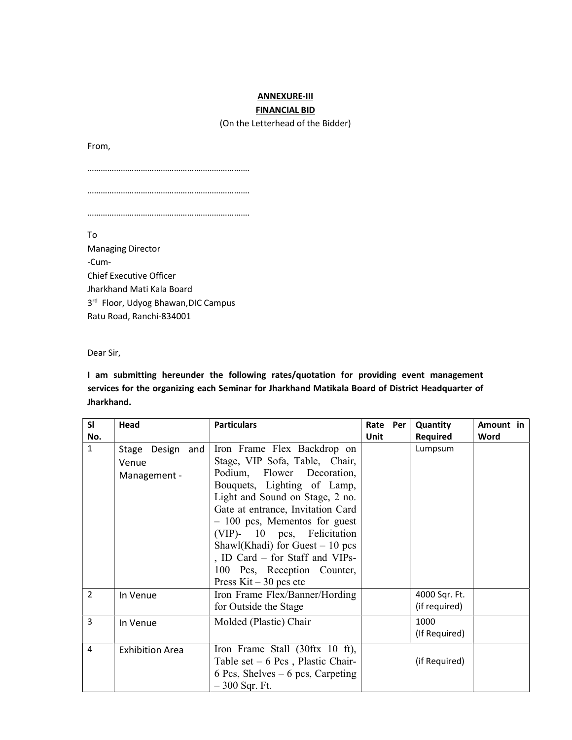# ANNEXURE-III FINANCIAL BID

(On the Letterhead of the Bidder)

From,

……………………………………………………………….

……………………………………………………………….

……………………………………………………………….

To Managing Director -Cum-Chief Executive Officer Jharkhand Mati Kala Board 3<sup>rd</sup> Floor, Udyog Bhawan, DIC Campus Ratu Road, Ranchi-834001

Dear Sir,

I am submitting hereunder the following rates/quotation for providing event management services for the organizing each Seminar for Jharkhand Matikala Board of District Headquarter of Jharkhand.

| SI             | Head                                      | <b>Particulars</b>                                                                                                                                                                                                                                                                                                                                                                                    | Rate Per | Quantity                       | Amount in |
|----------------|-------------------------------------------|-------------------------------------------------------------------------------------------------------------------------------------------------------------------------------------------------------------------------------------------------------------------------------------------------------------------------------------------------------------------------------------------------------|----------|--------------------------------|-----------|
| No.            |                                           |                                                                                                                                                                                                                                                                                                                                                                                                       | Unit     | Required                       | Word      |
| $\mathbf{1}$   | Stage Design and<br>Venue<br>Management - | Iron Frame Flex Backdrop on<br>Stage, VIP Sofa, Table, Chair,<br>Podium, Flower Decoration,<br>Bouquets, Lighting of Lamp,<br>Light and Sound on Stage, 2 no.<br>Gate at entrance, Invitation Card<br>$-100$ pcs, Mementos for guest<br>(VIP)- 10 pcs, Felicitation<br>Shawl(Khadi) for Guest $-10$ pcs<br>, ID Card - for Staff and VIPs-<br>100 Pcs, Reception Counter,<br>Press $Kit - 30$ pcs etc |          | Lumpsum                        |           |
| $\overline{2}$ | In Venue                                  | Iron Frame Flex/Banner/Hording<br>for Outside the Stage                                                                                                                                                                                                                                                                                                                                               |          | 4000 Sqr. Ft.<br>(if required) |           |
| 3              | In Venue                                  | Molded (Plastic) Chair                                                                                                                                                                                                                                                                                                                                                                                |          | 1000<br>(If Required)          |           |
| 4              | <b>Exhibition Area</b>                    | Iron Frame Stall (30ftx 10 ft),<br>Table set $-6$ Pcs, Plastic Chair-<br>6 Pcs, Shelves $-6$ pcs, Carpeting<br>$-300$ Sqr. Ft.                                                                                                                                                                                                                                                                        |          | (if Required)                  |           |